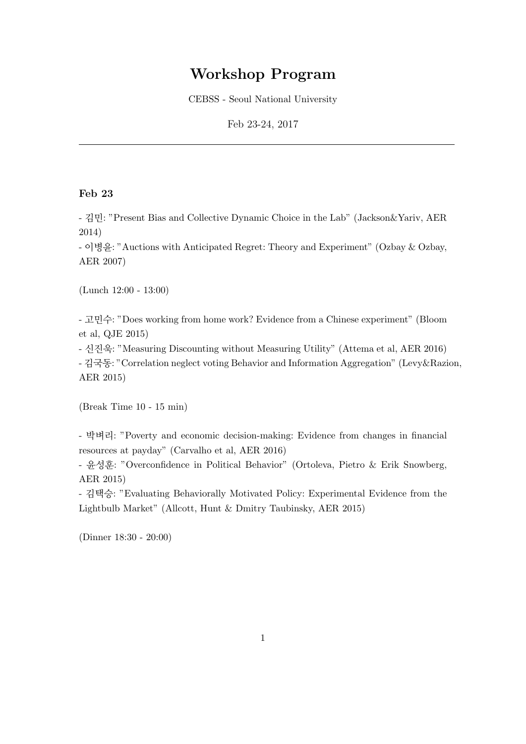## Workshop Program

CEBSS - Seoul National University

Feb 23-24, 2017

## Feb 23

- 김민: "Present Bias and Collective Dynamic Choice in the Lab" (Jackson&Yariv, AER 2014)

- 이병윤: "Auctions with Anticipated Regret: Theory and Experiment" (Ozbay & Ozbay, AER 2007)

(Lunch 12:00 - 13:00)

- 고민수: "Does working from home work? Evidence from a Chinese experiment" (Bloom et al, QJE 2015)

- 신진욱: "Measuring Discounting without Measuring Utility" (Attema et al, AER 2016)

- 김국동: "Correlation neglect voting Behavior and Information Aggregation" (Levy&Razion, AER 2015)

(Break Time 10 - 15 min)

- 박벼리: "Poverty and economic decision-making: Evidence from changes in financial resources at payday" (Carvalho et al, AER 2016)

- 윤성훈: "Overconfidence in Political Behavior" (Ortoleva, Pietro & Erik Snowberg, AER 2015)

- 김택승: "Evaluating Behaviorally Motivated Policy: Experimental Evidence from the Lightbulb Market" (Allcott, Hunt & Dmitry Taubinsky, AER 2015)

(Dinner 18:30 - 20:00)